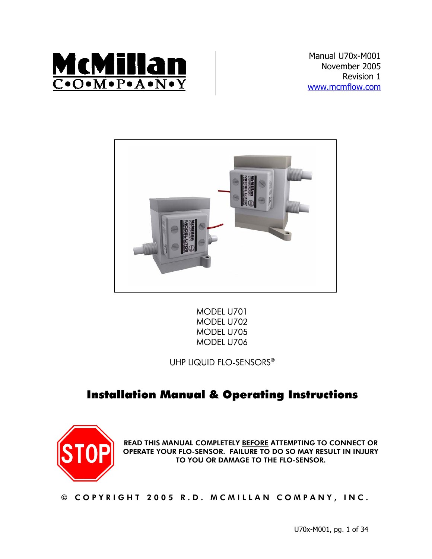

Manual U70x-M001 November 2005 Revision 1 www.mcmflow.com



MODEL U701 MODEL U702 MODEL U705 MODEL U706

UHP LIQUID FLO-SENSORS®

# Installation Manual & Operating Instructions



READ THIS MANUAL COMPLETELY <u>BEFORE</u> ATTEMPTING TO CONNECT OR OPERATE YOUR FLO-SENSOR. FAILURE TO DO SO MAY RESULT IN INJURY TO YOU OR DAMAGE TO THE FLO-SENSOR.

© COPYRIGHT 2005 R.D. MCMILLAN COMPANY, INC.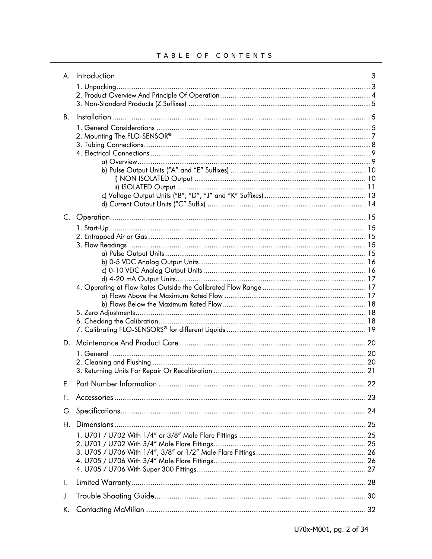| А.        | Introduction | 3 |
|-----------|--------------|---|
|           |              |   |
|           |              |   |
|           |              |   |
| <b>B.</b> |              |   |
|           |              |   |
|           |              |   |
|           |              |   |
|           |              |   |
|           |              |   |
|           |              |   |
|           |              |   |
|           |              |   |
|           |              |   |
|           |              |   |
|           |              |   |
|           |              |   |
|           |              |   |
|           |              |   |
|           |              |   |
|           |              |   |
|           |              |   |
|           |              |   |
|           |              |   |
|           |              |   |
|           |              |   |
|           |              |   |
| D.        |              |   |
|           |              |   |
|           |              |   |
|           |              |   |
| Е.        |              |   |
| F.        |              |   |
|           |              |   |
| Н.        |              |   |
|           |              |   |
|           |              |   |
|           |              |   |
|           |              |   |
|           |              |   |
| Ι.        |              |   |
| J.        |              |   |
| K.        |              |   |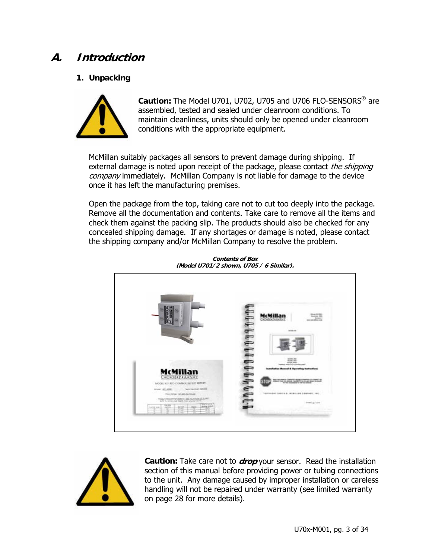# **A. Introduction**

## **1. Unpacking**



**Caution:** The Model U701, U702, U705 and U706 FLO-SENSORS® are assembled, tested and sealed under cleanroom conditions. To maintain cleanliness, units should only be opened under cleanroom conditions with the appropriate equipment.

McMillan suitably packages all sensors to prevent damage during shipping. If external damage is noted upon receipt of the package, please contact the shipping company immediately. McMillan Company is not liable for damage to the device once it has left the manufacturing premises.

Open the package from the top, taking care not to cut too deeply into the package. Remove all the documentation and contents. Take care to remove all the items and check them against the packing slip. The products should also be checked for any concealed shipping damage. If any shortages or damage is noted, please contact the shipping company and/or McMillan Company to resolve the problem.



**Contents of Box (Model U701/2 shown, U705 / 6 Similar).** 



 **Caution:** Take care not to **drop** your sensor. Read the installation section of this manual before providing power or tubing connections to the unit. Any damage caused by improper installation or careless handling will not be repaired under warranty (see limited warranty on page 28 for more details).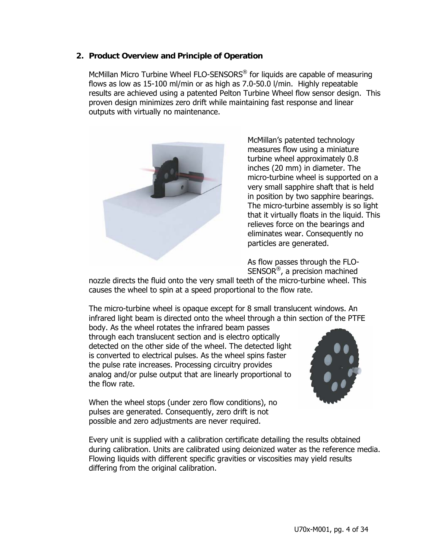## **2. Product Overview and Principle of Operation**

McMillan Micro Turbine Wheel FLO-SENSORS<sup>®</sup> for liquids are capable of measuring flows as low as 15-100 ml/min or as high as 7.0-50.0 l/min. Highly repeatable results are achieved using a patented Pelton Turbine Wheel flow sensor design. This proven design minimizes zero drift while maintaining fast response and linear outputs with virtually no maintenance.



McMillan's patented technology measures flow using a miniature turbine wheel approximately 0.8 inches (20 mm) in diameter. The micro-turbine wheel is supported on a very small sapphire shaft that is held in position by two sapphire bearings. The micro-turbine assembly is so light that it virtually floats in the liquid. This relieves force on the bearings and eliminates wear. Consequently no particles are generated.

As flow passes through the FLO-SENSOR®, a precision machined

nozzle directs the fluid onto the very small teeth of the micro-turbine wheel. This causes the wheel to spin at a speed proportional to the flow rate.

The micro-turbine wheel is opaque except for 8 small translucent windows. An infrared light beam is directed onto the wheel through a thin section of the PTFE body. As the wheel rotates the infrared beam passes through each translucent section and is electro optically detected on the other side of the wheel. The detected light is converted to electrical pulses. As the wheel spins faster

the pulse rate increases. Processing circuitry provides analog and/or pulse output that are linearly proportional to the flow rate.

When the wheel stops (under zero flow conditions), no pulses are generated. Consequently, zero drift is not possible and zero adjustments are never required.



Every unit is supplied with a calibration certificate detailing the results obtained during calibration. Units are calibrated using deionized water as the reference media. Flowing liquids with different specific gravities or viscosities may yield results differing from the original calibration.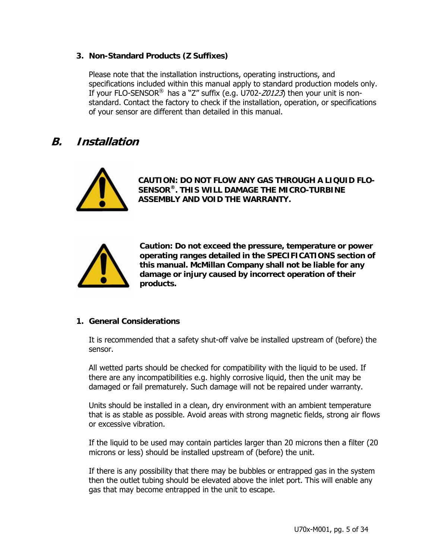## **3. Non-Standard Products (Z Suffixes)**

Please note that the installation instructions, operating instructions, and specifications included within this manual apply to standard production models only. If your FLO-SENSOR<sup>®</sup> has a "Z" suffix (e.g. U702- $Z0123$ ) then your unit is nonstandard. Contact the factory to check if the installation, operation, or specifications of your sensor are different than detailed in this manual.

## **B. Installation**



**CAUTION: DO NOT FLOW ANY GAS THROUGH A LIQUID FLO-SENSOR®. THIS WILL DAMAGE THE MICRO-TURBINE ASSEMBLY AND VOID THE WARRANTY.** 



**Caution: Do not exceed the pressure, temperature or power operating ranges detailed in the SPECIFICATIONS section of this manual. McMillan Company shall not be liable for any damage or injury caused by incorrect operation of their products.** 

## **1. General Considerations**

It is recommended that a safety shut-off valve be installed upstream of (before) the sensor.

All wetted parts should be checked for compatibility with the liquid to be used. If there are any incompatibilities e.g. highly corrosive liquid, then the unit may be damaged or fail prematurely. Such damage will not be repaired under warranty.

Units should be installed in a clean, dry environment with an ambient temperature that is as stable as possible. Avoid areas with strong magnetic fields, strong air flows or excessive vibration.

If the liquid to be used may contain particles larger than 20 microns then a filter (20 microns or less) should be installed upstream of (before) the unit.

If there is any possibility that there may be bubbles or entrapped gas in the system then the outlet tubing should be elevated above the inlet port. This will enable any gas that may become entrapped in the unit to escape.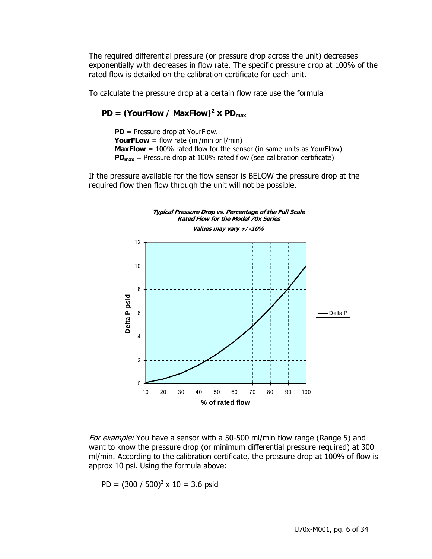The required differential pressure (or pressure drop across the unit) decreases exponentially with decreases in flow rate. The specific pressure drop at 100% of the rated flow is detailed on the calibration certificate for each unit.

To calculate the pressure drop at a certain flow rate use the formula

 $PD = (YourFlow / MaxFlow)^2 \times PD_{max}$ 

**PD** = Pressure drop at YourFlow. **YourFLow** = flow rate (ml/min or l/min) **MaxFlow** = 100% rated flow for the sensor (in same units as YourFlow)  $PD_{max}$  = Pressure drop at 100% rated flow (see calibration certificate)

If the pressure available for the flow sensor is BELOW the pressure drop at the required flow then flow through the unit will not be possible.



For example: You have a sensor with a 50-500 ml/min flow range (Range 5) and want to know the pressure drop (or minimum differential pressure required) at 300 ml/min. According to the calibration certificate, the pressure drop at 100% of flow is approx 10 psi. Using the formula above:

PD =  $(300 / 500)^2 \times 10 = 3.6$  psid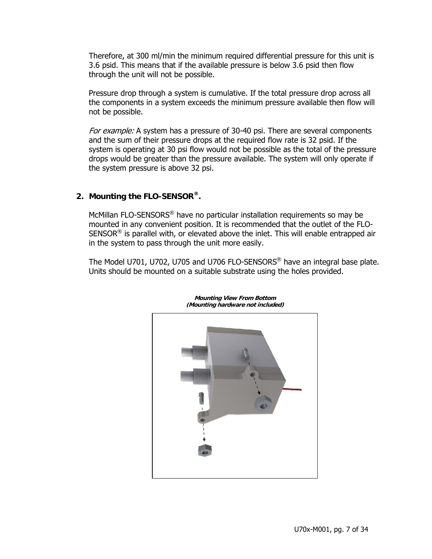Therefore, at 300 ml/min the minimum required differential pressure for this unit is 3.6 psid. This means that if the available pressure is below 3.6 psid then flow through the unit will not be possible.

Pressure drop through a system is cumulative. If the total pressure drop across all the components in a system exceeds the minimum pressure available then flow will not be possible.

For example: A system has a pressure of 30-40 psi. There are several components and the sum of their pressure drops at the required flow rate is 32 psid. If the system is operating at 30 psi flow would not be possible as the total of the pressure drops would be greater than the pressure available. The system will only operate if the system pressure is above 32 psi.

## **2. Mounting the FLO-SENSOR®.**

McMillan FLO-SENSORS® have no particular installation requirements so may be mounted in any convenient position. It is recommended that the outlet of the FLO- $SENSOR<sup>®</sup>$  is parallel with, or elevated above the inlet. This will enable entrapped air in the system to pass through the unit more easily.

The Model U701, U702, U705 and U706 FLO-SENSORS<sup>®</sup> have an integral base plate. Units should be mounted on a suitable substrate using the holes provided.



**Mounting View From Bottom (Mounting hardware not included)**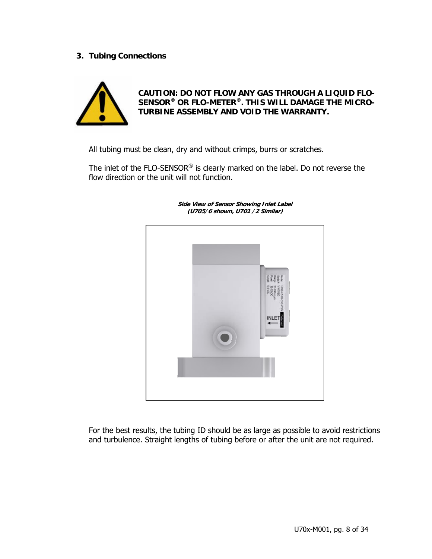## **3. Tubing Connections**



**CAUTION: DO NOT FLOW ANY GAS THROUGH A LIQUID FLO-SENSOR® OR FLO-METER®. THIS WILL DAMAGE THE MICRO-TURBINE ASSEMBLY AND VOID THE WARRANTY.** 

All tubing must be clean, dry and without crimps, burrs or scratches.

The inlet of the FLO-SENSOR® is clearly marked on the label. Do not reverse the flow direction or the unit will not function.



**Side View of Sensor Showing Inlet Label (U705/6 shown, U701 /2 Similar)** 

For the best results, the tubing ID should be as large as possible to avoid restrictions and turbulence. Straight lengths of tubing before or after the unit are not required.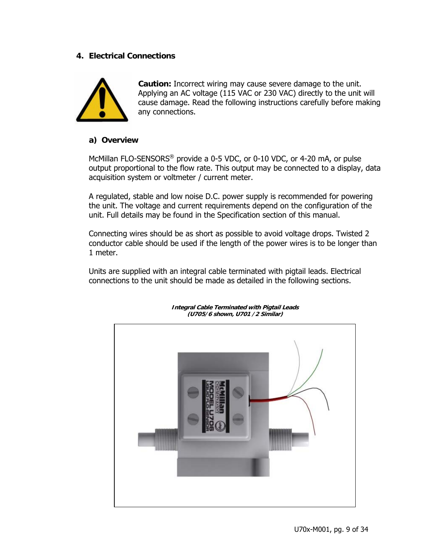## **4. Electrical Connections**



**Caution:** Incorrect wiring may cause severe damage to the unit. Applying an AC voltage (115 VAC or 230 VAC) directly to the unit will cause damage. Read the following instructions carefully before making any connections.

## **a) Overview**

McMillan FLO-SENSORS<sup>®</sup> provide a 0-5 VDC, or 0-10 VDC, or 4-20 mA, or pulse output proportional to the flow rate. This output may be connected to a display, data acquisition system or voltmeter / current meter.

A regulated, stable and low noise D.C. power supply is recommended for powering the unit. The voltage and current requirements depend on the configuration of the unit. Full details may be found in the Specification section of this manual.

Connecting wires should be as short as possible to avoid voltage drops. Twisted 2 conductor cable should be used if the length of the power wires is to be longer than 1 meter.

Units are supplied with an integral cable terminated with pigtail leads. Electrical connections to the unit should be made as detailed in the following sections.



**Integral Cable Terminated with Pigtail Leads (U705/6 shown, U701 /2 Similar)**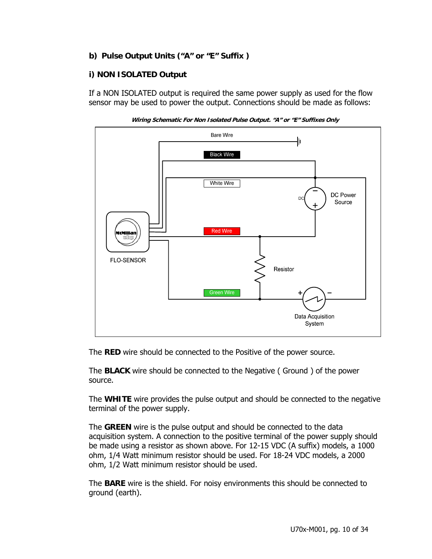## **b) Pulse Output Units ("A" or "E" Suffix )**

## **i) NON ISOLATED Output**

If a NON ISOLATED output is required the same power supply as used for the flow sensor may be used to power the output. Connections should be made as follows:





The **RED** wire should be connected to the Positive of the power source.

The **BLACK** wire should be connected to the Negative ( Ground ) of the power source.

The **WHITE** wire provides the pulse output and should be connected to the negative terminal of the power supply.

The **GREEN** wire is the pulse output and should be connected to the data acquisition system. A connection to the positive terminal of the power supply should be made using a resistor as shown above. For 12-15 VDC (A suffix) models, a 1000 ohm, 1/4 Watt minimum resistor should be used. For 18-24 VDC models, a 2000 ohm, 1/2 Watt minimum resistor should be used.

The **BARE** wire is the shield. For noisy environments this should be connected to ground (earth).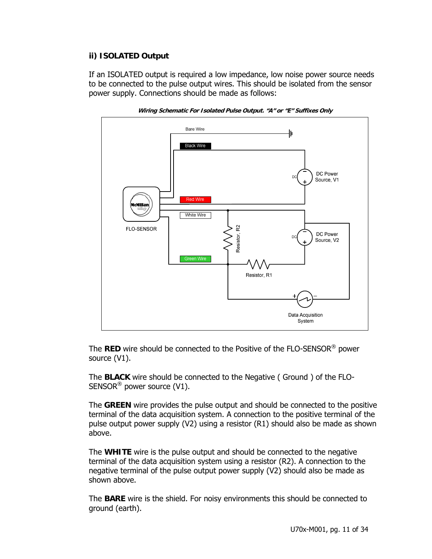## **ii) ISOLATED Output**

If an ISOLATED output is required a low impedance, low noise power source needs to be connected to the pulse output wires. This should be isolated from the sensor power supply. Connections should be made as follows:



**Wiring Schematic For Isolated Pulse Output. "A" or "E" Suffixes Only** 

The **RED** wire should be connected to the Positive of the FLO-SENSOR® power source (V1).

The **BLACK** wire should be connected to the Negative ( Ground ) of the FLO-SENSOR® power source (V1).

The **GREEN** wire provides the pulse output and should be connected to the positive terminal of the data acquisition system. A connection to the positive terminal of the pulse output power supply (V2) using a resistor (R1) should also be made as shown above.

The **WHITE** wire is the pulse output and should be connected to the negative terminal of the data acquisition system using a resistor (R2). A connection to the negative terminal of the pulse output power supply (V2) should also be made as shown above.

The **BARE** wire is the shield. For noisy environments this should be connected to ground (earth).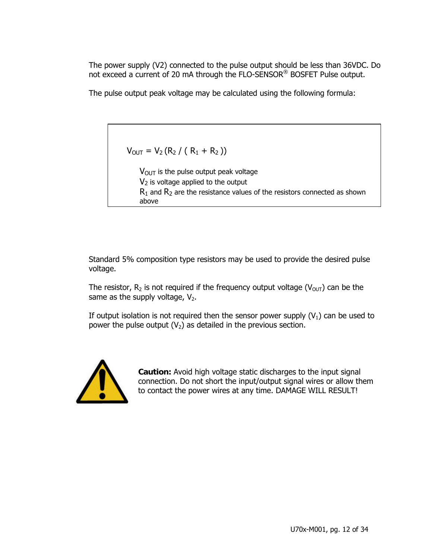The power supply (V2) connected to the pulse output should be less than 36VDC. Do not exceed a current of 20 mA through the FLO-SENSOR® BOSFET Pulse output.

The pulse output peak voltage may be calculated using the following formula:

 $V_{OUT} = V_2 (R_2 / (R_1 + R_2))$ 

 $V_{\text{OUT}}$  is the pulse output peak voltage  $V_2$  is voltage applied to the output  $R_1$  and  $R_2$  are the resistance values of the resistors connected as shown above

Standard 5% composition type resistors may be used to provide the desired pulse voltage.

The resistor,  $R_2$  is not required if the frequency output voltage ( $V_{OUT}$ ) can be the same as the supply voltage,  $V_2$ .

If output isolation is not required then the sensor power supply  $(V_1)$  can be used to power the pulse output  $(V_2)$  as detailed in the previous section.



**Caution:** Avoid high voltage static discharges to the input signal connection. Do not short the input/output signal wires or allow them to contact the power wires at any time. DAMAGE WILL RESULT!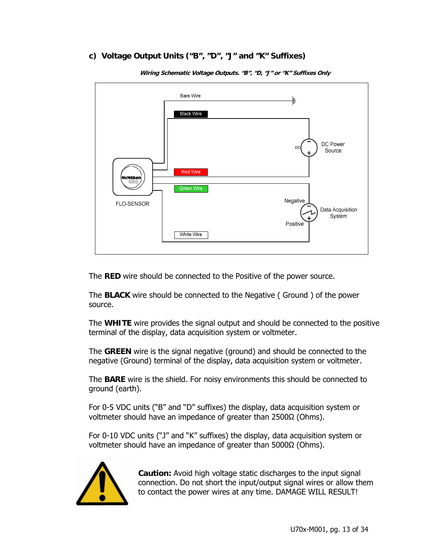## **c) Voltage Output Units ("B", "D", "J" and "K" Suffixes)**



**Wiring Schematic Voltage Outputs. "B", "D, "J" or "K" Suffixes Only** 

The **RED** wire should be connected to the Positive of the power source.

The **BLACK** wire should be connected to the Negative ( Ground ) of the power source.

The **WHITE** wire provides the signal output and should be connected to the positive terminal of the display, data acquisition system or voltmeter.

The **GREEN** wire is the signal negative (ground) and should be connected to the negative (Ground) terminal of the display, data acquisition system or voltmeter.

The **BARE** wire is the shield. For noisy environments this should be connected to ground (earth).

For 0-5 VDC units ("B" and "D" suffixes) the display, data acquisition system or voltmeter should have an impedance of greater than 2500Ω (Ohms).

For 0-10 VDC units ("J" and "K" suffixes) the display, data acquisition system or voltmeter should have an impedance of greater than 5000Ω (Ohms).



**Caution:** Avoid high voltage static discharges to the input signal connection. Do not short the input/output signal wires or allow them to contact the power wires at any time. DAMAGE WILL RESULT!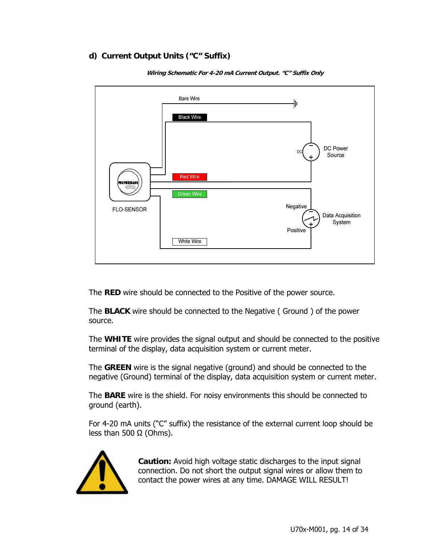## **d) Current Output Units ("C" Suffix)**



**Wiring Schematic For 4-20 mA Current Output. "C" Suffix Only** 

The **RED** wire should be connected to the Positive of the power source.

The **BLACK** wire should be connected to the Negative ( Ground ) of the power source.

The **WHITE** wire provides the signal output and should be connected to the positive terminal of the display, data acquisition system or current meter.

The **GREEN** wire is the signal negative (ground) and should be connected to the negative (Ground) terminal of the display, data acquisition system or current meter.

The **BARE** wire is the shield. For noisy environments this should be connected to ground (earth).

For 4-20 mA units ("C" suffix) the resistance of the external current loop should be less than 500  $\Omega$  (Ohms).



**Caution:** Avoid high voltage static discharges to the input signal connection. Do not short the output signal wires or allow them to contact the power wires at any time. DAMAGE WILL RESULT!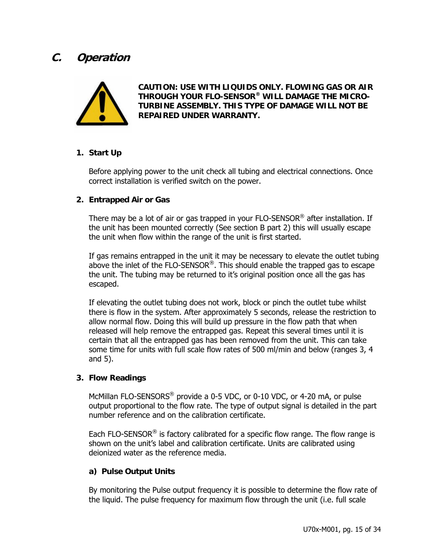## **C. Operation**



**CAUTION: USE WITH LIQUIDS ONLY. FLOWING GAS OR AIR THROUGH YOUR FLO-SENSOR® WILL DAMAGE THE MICRO-TURBINE ASSEMBLY. THIS TYPE OF DAMAGE WILL NOT BE REPAIRED UNDER WARRANTY.** 

## **1. Start Up**

Before applying power to the unit check all tubing and electrical connections. Once correct installation is verified switch on the power.

## **2. Entrapped Air or Gas**

There may be a lot of air or gas trapped in your  $FLO-SENSOR^{\circledast}$  after installation. If the unit has been mounted correctly (See section B part 2) this will usually escape the unit when flow within the range of the unit is first started.

If gas remains entrapped in the unit it may be necessary to elevate the outlet tubing above the inlet of the FLO-SENSOR®. This should enable the trapped gas to escape the unit. The tubing may be returned to it's original position once all the gas has escaped.

If elevating the outlet tubing does not work, block or pinch the outlet tube whilst there is flow in the system. After approximately 5 seconds, release the restriction to allow normal flow. Doing this will build up pressure in the flow path that when released will help remove the entrapped gas. Repeat this several times until it is certain that all the entrapped gas has been removed from the unit. This can take some time for units with full scale flow rates of 500 ml/min and below (ranges 3, 4 and 5).

## **3. Flow Readings**

McMillan FLO-SENSORS<sup>®</sup> provide a 0-5 VDC, or 0-10 VDC, or 4-20 mA, or pulse output proportional to the flow rate. The type of output signal is detailed in the part number reference and on the calibration certificate.

Each FLO-SENSOR<sup>®</sup> is factory calibrated for a specific flow range. The flow range is shown on the unit's label and calibration certificate. Units are calibrated using deionized water as the reference media.

## **a) Pulse Output Units**

By monitoring the Pulse output frequency it is possible to determine the flow rate of the liquid. The pulse frequency for maximum flow through the unit (i.e. full scale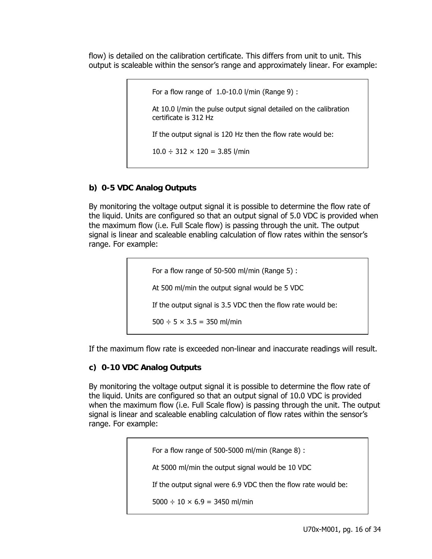flow) is detailed on the calibration certificate. This differs from unit to unit. This output is scaleable within the sensor's range and approximately linear. For example:

> For a flow range of 1.0-10.0 l/min (Range 9) : At 10.0 l/min the pulse output signal detailed on the calibration certificate is 312 Hz If the output signal is 120 Hz then the flow rate would be:  $10.0 \div 312 \times 120 = 3.85$  l/min

## **b) 0-5 VDC Analog Outputs**

By monitoring the voltage output signal it is possible to determine the flow rate of the liquid. Units are configured so that an output signal of 5.0 VDC is provided when the maximum flow (i.e. Full Scale flow) is passing through the unit. The output signal is linear and scaleable enabling calculation of flow rates within the sensor's range. For example:

> For a flow range of 50-500 ml/min (Range 5) : At 500 ml/min the output signal would be 5 VDC If the output signal is 3.5 VDC then the flow rate would be:  $500 \div 5 \times 3.5 = 350$  ml/min

If the maximum flow rate is exceeded non-linear and inaccurate readings will result.

## **c) 0-10 VDC Analog Outputs**

By monitoring the voltage output signal it is possible to determine the flow rate of the liquid. Units are configured so that an output signal of 10.0 VDC is provided when the maximum flow (i.e. Full Scale flow) is passing through the unit. The output signal is linear and scaleable enabling calculation of flow rates within the sensor's range. For example:

> For a flow range of 500-5000 ml/min (Range 8) : At 5000 ml/min the output signal would be 10 VDC If the output signal were 6.9 VDC then the flow rate would be:  $5000 \div 10 \times 6.9 = 3450$  ml/min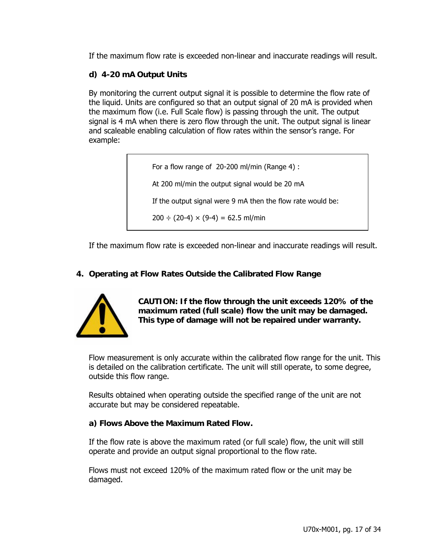If the maximum flow rate is exceeded non-linear and inaccurate readings will result.

## **d) 4-20 mA Output Units**

By monitoring the current output signal it is possible to determine the flow rate of the liquid. Units are configured so that an output signal of 20 mA is provided when the maximum flow (i.e. Full Scale flow) is passing through the unit. The output signal is 4 mA when there is zero flow through the unit. The output signal is linear and scaleable enabling calculation of flow rates within the sensor's range. For example:

> For a flow range of 20-200 ml/min (Range 4) : At 200 ml/min the output signal would be 20 mA If the output signal were 9 mA then the flow rate would be:  $200 \div (20-4) \times (9-4) = 62.5$  ml/min

If the maximum flow rate is exceeded non-linear and inaccurate readings will result.

## **4. Operating at Flow Rates Outside the Calibrated Flow Range**



**CAUTION: If the flow through the unit exceeds 120% of the maximum rated (full scale) flow the unit may be damaged. This type of damage will not be repaired under warranty.** 

Flow measurement is only accurate within the calibrated flow range for the unit. This is detailed on the calibration certificate. The unit will still operate, to some degree, outside this flow range.

Results obtained when operating outside the specified range of the unit are not accurate but may be considered repeatable.

## **a) Flows Above the Maximum Rated Flow.**

If the flow rate is above the maximum rated (or full scale) flow, the unit will still operate and provide an output signal proportional to the flow rate.

Flows must not exceed 120% of the maximum rated flow or the unit may be damaged.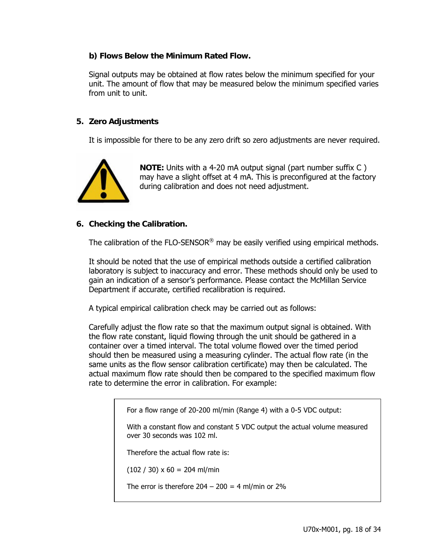## **b) Flows Below the Minimum Rated Flow.**

Signal outputs may be obtained at flow rates below the minimum specified for your unit. The amount of flow that may be measured below the minimum specified varies from unit to unit.

## **5. Zero Adjustments**

It is impossible for there to be any zero drift so zero adjustments are never required.



**NOTE:** Units with a 4-20 mA output signal (part number suffix C ) may have a slight offset at 4 mA. This is preconfigured at the factory during calibration and does not need adjustment.

## **6. Checking the Calibration.**

The calibration of the FLO-SENSOR<sup>®</sup> may be easily verified using empirical methods.

It should be noted that the use of empirical methods outside a certified calibration laboratory is subject to inaccuracy and error. These methods should only be used to gain an indication of a sensor's performance. Please contact the McMillan Service Department if accurate, certified recalibration is required.

A typical empirical calibration check may be carried out as follows:

Carefully adjust the flow rate so that the maximum output signal is obtained. With the flow rate constant, liquid flowing through the unit should be gathered in a container over a timed interval. The total volume flowed over the timed period should then be measured using a measuring cylinder. The actual flow rate (in the same units as the flow sensor calibration certificate) may then be calculated. The actual maximum flow rate should then be compared to the specified maximum flow rate to determine the error in calibration. For example:

For a flow range of 20-200 ml/min (Range 4) with a 0-5 VDC output:

With a constant flow and constant 5 VDC output the actual volume measured over 30 seconds was 102 ml.

Therefore the actual flow rate is:

 $(102 / 30) \times 60 = 204$  ml/min

The error is therefore  $204 - 200 = 4$  ml/min or  $2\%$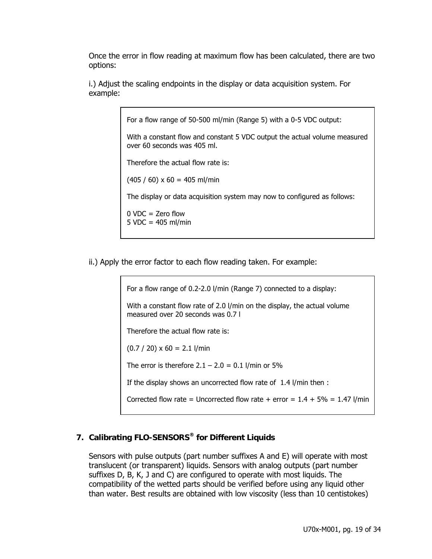Once the error in flow reading at maximum flow has been calculated, there are two options:

i.) Adjust the scaling endpoints in the display or data acquisition system. For example:

For a flow range of 50-500 ml/min (Range 5) with a 0-5 VDC output:

With a constant flow and constant 5 VDC output the actual volume measured over 60 seconds was 405 ml.

Therefore the actual flow rate is:

 $(405 / 60) \times 60 = 405$  ml/min

The display or data acquisition system may now to configured as follows:

 $0$  VDC = Zero flow  $5 \text{ VDC} = 405 \text{ ml/min}$ 

ii.) Apply the error factor to each flow reading taken. For example:

For a flow range of 0.2-2.0 l/min (Range 7) connected to a display:

With a constant flow rate of 2.0 l/min on the display, the actual volume measured over 20 seconds was 0.7 l

Therefore the actual flow rate is:

 $(0.7 / 20) \times 60 = 2.1$  l/min

The error is therefore  $2.1 - 2.0 = 0.1$  l/min or 5%

If the display shows an uncorrected flow rate of 1.4 l/min then :

Corrected flow rate = Uncorrected flow rate + error =  $1.4 + 5\% = 1.47$  l/min

## **7. Calibrating FLO-SENSORS® for Different Liquids**

Sensors with pulse outputs (part number suffixes A and E) will operate with most translucent (or transparent) liquids. Sensors with analog outputs (part number suffixes D, B, K, J and C) are configured to operate with most liquids. The compatibility of the wetted parts should be verified before using any liquid other than water. Best results are obtained with low viscosity (less than 10 centistokes)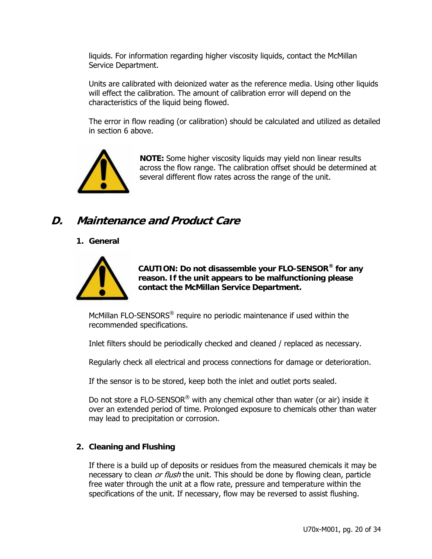liquids. For information regarding higher viscosity liquids, contact the McMillan Service Department.

Units are calibrated with deionized water as the reference media. Using other liquids will effect the calibration. The amount of calibration error will depend on the characteristics of the liquid being flowed.

The error in flow reading (or calibration) should be calculated and utilized as detailed in section 6 above.



**NOTE:** Some higher viscosity liquids may yield non linear results across the flow range. The calibration offset should be determined at several different flow rates across the range of the unit.

## **D. Maintenance and Product Care**

## **1. General**



**CAUTION: Do not disassemble your FLO-SENSOR® for any reason. If the unit appears to be malfunctioning please contact the McMillan Service Department.** 

McMillan FLO-SENSORS® require no periodic maintenance if used within the recommended specifications.

Inlet filters should be periodically checked and cleaned / replaced as necessary.

Regularly check all electrical and process connections for damage or deterioration.

If the sensor is to be stored, keep both the inlet and outlet ports sealed.

Do not store a FLO-SENSOR<sup>®</sup> with any chemical other than water (or air) inside it over an extended period of time. Prolonged exposure to chemicals other than water may lead to precipitation or corrosion.

## **2. Cleaning and Flushing**

If there is a build up of deposits or residues from the measured chemicals it may be necessary to clean *or flush* the unit. This should be done by flowing clean, particle free water through the unit at a flow rate, pressure and temperature within the specifications of the unit. If necessary, flow may be reversed to assist flushing.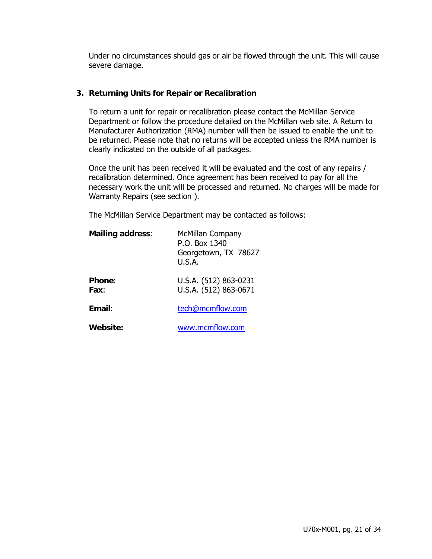Under no circumstances should gas or air be flowed through the unit. This will cause severe damage.

### **3. Returning Units for Repair or Recalibration**

To return a unit for repair or recalibration please contact the McMillan Service Department or follow the procedure detailed on the McMillan web site. A Return to Manufacturer Authorization (RMA) number will then be issued to enable the unit to be returned. Please note that no returns will be accepted unless the RMA number is clearly indicated on the outside of all packages.

Once the unit has been received it will be evaluated and the cost of any repairs / recalibration determined. Once agreement has been received to pay for all the necessary work the unit will be processed and returned. No charges will be made for Warranty Repairs (see section ).

The McMillan Service Department may be contacted as follows:

| <b>Mailing address:</b> | <b>McMillan Company</b><br>P.O. Box 1340<br>Georgetown, TX 78627<br>U.S.A. |
|-------------------------|----------------------------------------------------------------------------|
| <b>Phone:</b><br>Fax:   | U.S.A. (512) 863-0231<br>U.S.A. (512) 863-0671                             |
| Email:                  | tech@mcmflow.com                                                           |
| Website:                | www.mcmflow.com                                                            |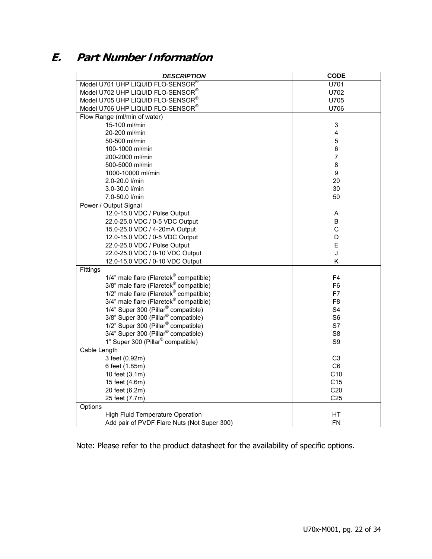# **E. Part Number Information**

| <b>DESCRIPTION</b>                                                                     | <b>CODE</b>     |
|----------------------------------------------------------------------------------------|-----------------|
| Model U701 UHP LIQUID FLO-SENSOR®                                                      | U701            |
| Model U702 UHP LIQUID FLO-SENSOR®                                                      | U702            |
| Model U705 UHP LIQUID FLO-SENSOR®                                                      | U705            |
| Model U706 UHP LIQUID FLO-SENSOR®                                                      | U706            |
| Flow Range (ml/min of water)                                                           |                 |
| 15-100 ml/min                                                                          | 3               |
| 20-200 ml/min                                                                          | 4               |
| 50-500 ml/min                                                                          | 5               |
| 100-1000 ml/min                                                                        | 6               |
| 200-2000 ml/min                                                                        | 7               |
| 500-5000 ml/min                                                                        | 8               |
| 1000-10000 ml/min                                                                      | 9               |
| 2.0-20.0 l/min                                                                         | 20              |
| 3.0-30.0 l/min                                                                         | 30              |
| 7.0-50.0 l/min                                                                         | 50              |
| Power / Output Signal                                                                  |                 |
| 12.0-15.0 VDC / Pulse Output                                                           | Α               |
| 22.0-25.0 VDC / 0-5 VDC Output                                                         | B               |
| 15.0-25.0 VDC / 4-20mA Output                                                          | $\mathsf C$     |
| 12.0-15.0 VDC / 0-5 VDC Output                                                         | D               |
| 22.0-25.0 VDC / Pulse Output                                                           | E               |
| 22.0-25.0 VDC / 0-10 VDC Output                                                        | J               |
| 12.0-15.0 VDC / 0-10 VDC Output                                                        | K               |
| Fittings                                                                               |                 |
| 1/4" male flare (Flaretek <sup>®</sup> compatible)                                     | F <sub>4</sub>  |
| 3/8" male flare (Flaretek <sup>®</sup> compatible)                                     | F <sub>6</sub>  |
| 1/2" male flare (Flaretek® compatible)                                                 | F7              |
| 3/4" male flare (Flaretek® compatible)                                                 | F <sub>8</sub>  |
| 1/4" Super 300 (Pillar <sup>®</sup> compatible)                                        | S <sub>4</sub>  |
| 3/8" Super 300 (Pillar <sup>®</sup> compatible)                                        | S <sub>6</sub>  |
| 1/2" Super 300 (Pillar <sup>®</sup> compatible)                                        | S7              |
| 3/4" Super 300 (Pillar <sup>®</sup> compatible)                                        | S <sub>8</sub>  |
| 1" Super 300 (Pillar <sup>®</sup> compatible)                                          | S9              |
| Cable Length                                                                           |                 |
| 3 feet (0.92m)                                                                         | C <sub>3</sub>  |
| 6 feet (1.85m)                                                                         | C6              |
| 10 feet (3.1m)                                                                         | C10             |
| 15 feet (4.6m)                                                                         | C <sub>15</sub> |
| 20 feet (6.2m)                                                                         | C <sub>20</sub> |
| 25 feet (7.7m)                                                                         | C <sub>25</sub> |
| Options                                                                                |                 |
| <b>High Fluid Temperature Operation</b><br>Add pair of PVDF Flare Nuts (Not Super 300) | <b>HT</b>       |
|                                                                                        | FN              |

Note: Please refer to the product datasheet for the availability of specific options.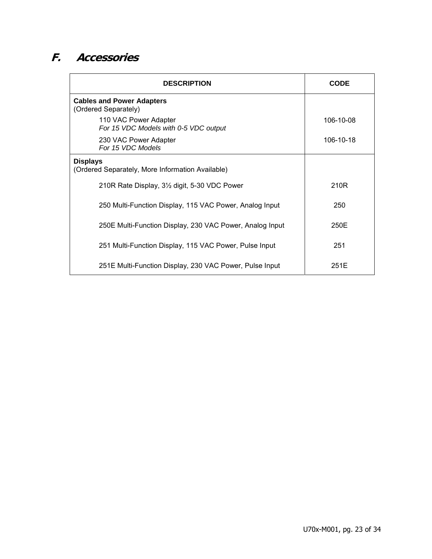# **F. Accessories**

| <b>DESCRIPTION</b>                                                  | <b>CODE</b> |
|---------------------------------------------------------------------|-------------|
| <b>Cables and Power Adapters</b><br>(Ordered Separately)            |             |
| 110 VAC Power Adapter<br>For 15 VDC Models with 0-5 VDC output      | 106-10-08   |
| 230 VAC Power Adapter<br>For 15 VDC Models                          | 106-10-18   |
| <b>Displays</b><br>(Ordered Separately, More Information Available) |             |
| 210R Rate Display, 3 <sup>1/2</sup> digit, 5-30 VDC Power           | 210R        |
| 250 Multi-Function Display, 115 VAC Power, Analog Input             | 250         |
| 250E Multi-Function Display, 230 VAC Power, Analog Input            | 250E        |
| 251 Multi-Function Display, 115 VAC Power, Pulse Input              | 251         |
| 251E Multi-Function Display, 230 VAC Power, Pulse Input             | 251E        |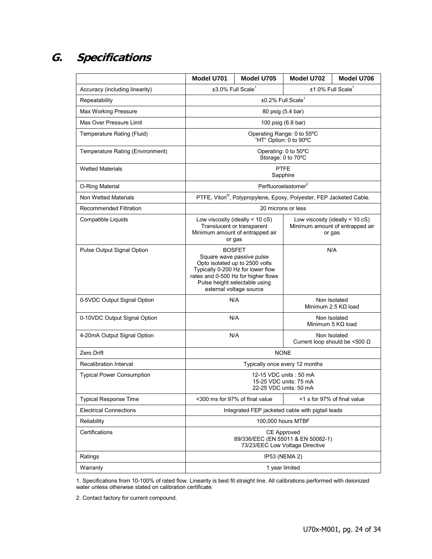# **G. Specifications**

|                                  | Model U701                                                                                                                                                                                                                  | Model U705                                                         | Model U702                                           | Model U706 |
|----------------------------------|-----------------------------------------------------------------------------------------------------------------------------------------------------------------------------------------------------------------------------|--------------------------------------------------------------------|------------------------------------------------------|------------|
| Accuracy (including linearity)   | $\pm 3.0\%$ Full Scale <sup>1</sup><br>$±1.0\%$ Full Scale <sup>1</sup>                                                                                                                                                     |                                                                    |                                                      |            |
| Repeatability                    | ±0.2% Full Scale <sup>1</sup>                                                                                                                                                                                               |                                                                    |                                                      |            |
| <b>Max Working Pressure</b>      | 80 psig (5.4 bar)                                                                                                                                                                                                           |                                                                    |                                                      |            |
| Max Over Pressure Limit          | 100 psig (6.8 bar)                                                                                                                                                                                                          |                                                                    |                                                      |            |
| Temperature Rating (Fluid)       |                                                                                                                                                                                                                             |                                                                    | Operating Range: 0 to 55°C<br>"HT" Option: 0 to 90°C |            |
| Temperature Rating (Environment) | Operating: 0 to 50°C<br>Storage: 0 to 70°C                                                                                                                                                                                  |                                                                    |                                                      |            |
| <b>Wetted Materials</b>          | <b>PTFE</b><br>Sapphire                                                                                                                                                                                                     |                                                                    |                                                      |            |
| O-Ring Material                  |                                                                                                                                                                                                                             |                                                                    | Perfluoroelastomer <sup>2</sup>                      |            |
| Non Wetted Materials             |                                                                                                                                                                                                                             | PTFE, Viton®, Polypropylene, Epoxy, Polyester, FEP Jacketed Cable. |                                                      |            |
| Recommended Filtration           |                                                                                                                                                                                                                             |                                                                    | 20 microns or less                                   |            |
| Compatible Liquids               | Low viscosity (ideally $<$ 10 cS)<br>Low viscosity (ideally $<$ 10 cS)<br>Translucent or transparent<br>Minimum amount of entrapped air<br>Minimum amount of entrapped air<br>or gas<br>or gas                              |                                                                    |                                                      |            |
| Pulse Output Signal Option       | N/A<br><b>BOSFET</b><br>Square wave passive pulse<br>Opto isolated up to 2500 volts<br>Typically 0-200 Hz for lower flow<br>rates and 0-500 Hz for higher flows<br>Pulse height selectable using<br>external voltage source |                                                                    |                                                      |            |
| 0-5VDC Output Signal Option      | N/A<br>Non Isolated<br>Minimum 2.5 $K\Omega$ load                                                                                                                                                                           |                                                                    |                                                      |            |
| 0-10VDC Output Signal Option     | N/A<br>Non Isolated<br>Minimum 5 $K\Omega$ load                                                                                                                                                                             |                                                                    |                                                      |            |
| 4-20mA Output Signal Option      | N/A<br>Non Isolated<br>Current loop should be <500 $\Omega$                                                                                                                                                                 |                                                                    |                                                      |            |
| Zero Drift                       | <b>NONE</b>                                                                                                                                                                                                                 |                                                                    |                                                      |            |
| <b>Recalibration Interval</b>    | Typically once every 12 months                                                                                                                                                                                              |                                                                    |                                                      |            |
| <b>Typical Power Consumption</b> | 12-15 VDC units: 50 mA<br>15-25 VDC units: 75 mA<br>22-25 VDC units: 50 mA                                                                                                                                                  |                                                                    |                                                      |            |
| <b>Typical Response Time</b>     | <300 ms for 97% of final value<br><1 s for 97% of final value                                                                                                                                                               |                                                                    |                                                      |            |
| <b>Electrical Connections</b>    | Integrated FEP jacketed cable with pigtail leads                                                                                                                                                                            |                                                                    |                                                      |            |
| Reliability                      | 100,000 hours MTBF                                                                                                                                                                                                          |                                                                    |                                                      |            |
| Certifications                   | <b>CE Approved</b><br>89/336/EEC (EN 55011 & EN 50082-1)<br>73/23/EEC Low Voltage Directive                                                                                                                                 |                                                                    |                                                      |            |
| Ratings                          | IP53 (NEMA 2)                                                                                                                                                                                                               |                                                                    |                                                      |            |
| Warranty                         | 1 year limited                                                                                                                                                                                                              |                                                                    |                                                      |            |

1. Specifications from 10-100% of rated flow. Linearity is best fit straight line. All calibrations performed with deionized water unless otherwise stated on calibration certificate.

2. Contact factory for current compound.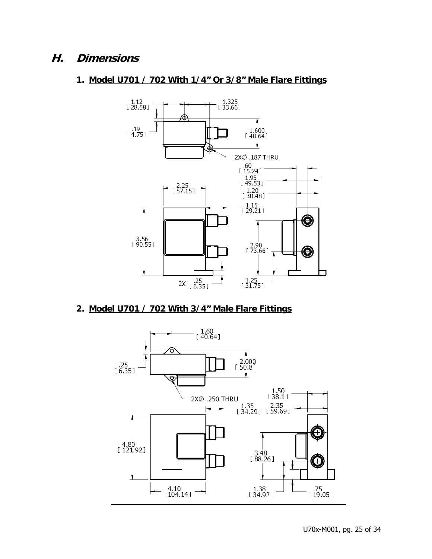## **H. Dimensions**

## **1. Model U701 / 702 With 1/4" Or 3/8" Male Flare Fittings**



## **2. Model U701 / 702 With 3/4" Male Flare Fittings**

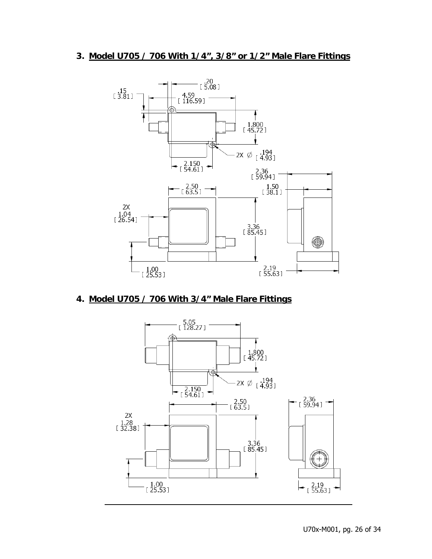## **3. Model U705 / 706 With 1/4", 3/8" or 1/2" Male Flare Fittings**



## **4. Model U705 / 706 With 3/4" Male Flare Fittings**

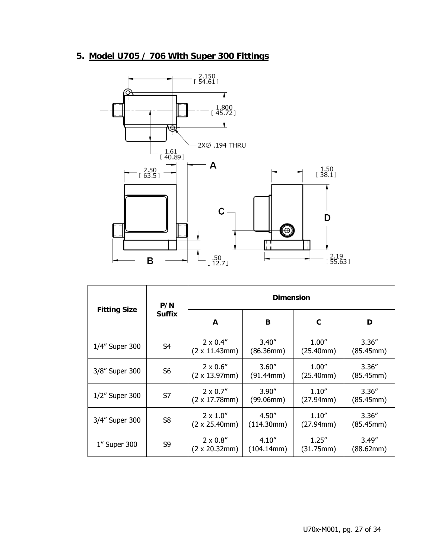# **5. Model U705 / 706 With Super 300 Fittings**



|                     | P/N<br><b>Suffix</b> | <b>Dimension</b>                             |                      |                     |                     |
|---------------------|----------------------|----------------------------------------------|----------------------|---------------------|---------------------|
| <b>Fitting Size</b> |                      | A                                            | В                    | C                   | D                   |
| 1/4" Super 300      | S <sub>4</sub>       | $2 \times 0.4''$<br>$(2 \times 11.43$ mm $)$ | 3.40''<br>(86.36mm)  | 1.00''<br>(25.40mm) | 3.36''<br>(85.45mm) |
| 3/8" Super 300      | S <sub>6</sub>       | $2 \times 0.6$ "<br>$(2 \times 13.97$ mm $)$ | 3.60''<br>(91.44mm)  | 1.00''<br>(25.40mm) | 3.36''<br>(85.45mm) |
| 1/2" Super 300      | S7                   | $2 \times 0.7''$<br>$(2 \times 17.78$ mm)    | 3.90''<br>(99.06mm)  | 1.10''<br>(27.94mm) | 3.36''<br>(85.45mm) |
| 3/4" Super 300      | S <sub>8</sub>       | $2 \times 1.0$ "<br>$(2 \times 25.40$ mm $)$ | 4.50''<br>(114.30mm) | 1.10''<br>(27.94mm) | 3.36''<br>(85.45mm) |
| 1" Super 300        | S9                   | $2 \times 0.8$ "<br>$(2 \times 20.32$ mm $)$ | 4.10''<br>(104.14mm) | 1.25''<br>(31.75mm) | 3.49''<br>(88.62mm) |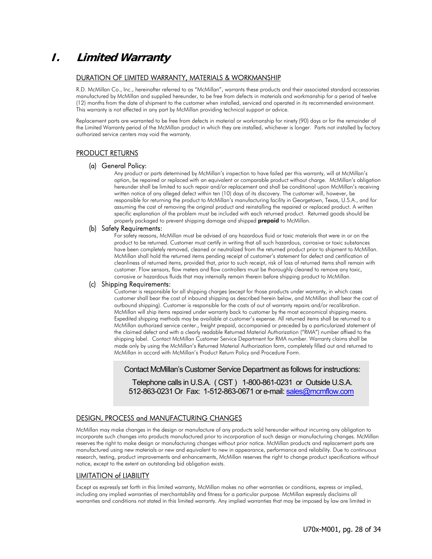# **I. Limited Warranty**

#### DURATION OF LIMITED WARRANTY, MATERIALS & WORKMANSHIP

R.D. McMillan Co., Inc., hereinafter referred to as "McMillan", warrants these products and their associated standard accessories manufactured by McMillan and supplied hereunder, to be free from defects in materials and workmanship for a period of twelve (12) months from the date of shipment to the customer when installed, serviced and operated in its recommended environment. This warranty is not affected in any part by McMillan providing technical support or advice.

Replacement parts are warranted to be free from defects in material or workmanship for ninety (90) days or for the remainder of the Limited Warranty period of the McMillan product in which they are installed, whichever is longer. Parts not installed by factory authorized service centers may void the warranty.

### PRODUCT RETURNS

#### (a) General Policy:

Any product or parts determined by McMillan's inspection to have failed per this warranty, will at McMillan's option, be repaired or replaced with an equivalent or comparable product without charge. McMillan's obligation hereunder shall be limited to such repair and/or replacement and shall be conditional upon McMillan's receiving written notice of any alleged defect within ten (10) days of its discovery. The customer will, however, be responsible for returning the product to McMillan's manufacturing facility in Georgetown, Texas, U.S.A., and for assuming the cost of removing the original product and reinstalling the repaired or replaced product. A written specific explanation of the problem must be included with each returned product. Returned goods should be properly packaged to prevent shipping damage and shipped prepaid to McMillan.

#### (b) Safety Requirements:

For safety reasons, McMillan must be advised of any hazardous fluid or toxic materials that were in or on the product to be returned. Customer must certify in writing that all such hazardous, corrosive or toxic substances have been completely removed, cleaned or neutralized from the returned product prior to shipment to McMillan. McMillan shall hold the returned items pending receipt of customer's statement for defect and certification of cleanliness of returned items, provided that, prior to such receipt, risk of loss of returned items shall remain with customer. Flow sensors, flow meters and flow controllers must be thoroughly cleaned to remove any toxic, corrosive or hazardous fluids that may internally remain therein before shipping product to McMillan.

#### (c) Shipping Requirements:

Customer is responsible for all shipping charges (except for those products under warranty, in which cases customer shall bear the cost of inbound shipping as described herein below, and McMillan shall bear the cost of outbound shipping). Customer is responsible for the costs of out of warranty repairs and/or recalibration. McMillan will ship items repaired under warranty back to customer by the most economical shipping means. Expedited shipping methods may be available at customer's expense. All returned items shall be returned to a McMillan authorized service center., freight prepaid, accompanied or preceded by a particularized statement of the claimed defect and with a clearly readable Returned Material Authorization ("RMA") number affixed to the shipping label. Contact McMillan Customer Service Department for RMA number. Warranty claims shall be made only by using the McMillan's Returned Material Authorization form, completely filled out and returned to McMillan in accord with McMillan's Product Return Policy and Procedure Form.

Contact McMillan's Customer Service Department as follows for instructions:

Telephone calls in U.S.A. ( CST ) 1-800-861-0231 or Outside U.S.A. 512-863-0231 Or Fax: 1-512-863-0671 or e-mail: sales@mcmflow.com

### DESIGN, PROCESS and MANUFACTURING CHANGES

McMillan may make changes in the design or manufacture of any products sold hereunder without incurring any obligation to incorporate such changes into products manufactured prior to incorporation of such design or manufacturing changes. McMillan reserves the right to make design or manufacturing changes without prior notice. McMillan products and replacement parts are manufactured using new materials or new and equivalent to new in appearance, performance and reliability. Due to continuous research, testing, product improvements and enhancements, McMillan reserves the right to change product specifications without notice, except to the extent an outstanding bid obligation exists.

### LIMITATION of LIABILITY

Except as expressly set forth in this limited warranty, McMillan makes no other warranties or conditions, express or implied, including any implied warranties of merchantability and fitness for a particular purpose. McMillan expressly disclaims all warranties and conditions not stated in this limited warranty. Any implied warranties that may be imposed by law are limited in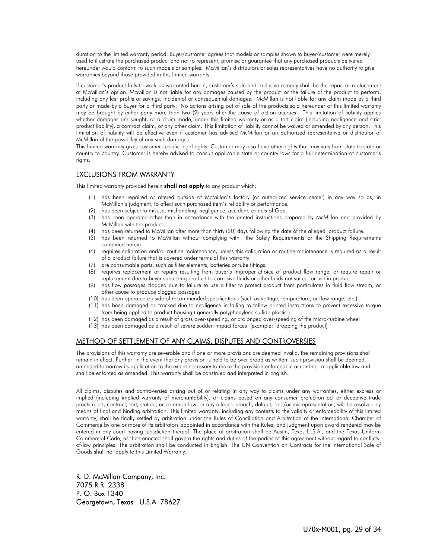duration to the limited warranty period. Buyer/customer agrees that models or samples shown to buyer/customer were merely used to illustrate the purchased product and not to represent, promise or guarantee that any purchased products delivered hereunder would conform to such models or samples. McMillan's distributors or sales representatives have no authority to give warranties beyond those provided in this limited warranty.

If customer's product fails to work as warranted herein, customer's sole and exclusive remedy shall be the repair or replacement at McMillan's option. McMillan is not liable for any damages caused by the product or the failure of the product to perform, including any lost profits or savings, incidental or consequential damages. McMillan is not liable for any claim made by a third party or made by a buyer for a third party. No actions arising out of sale of the products sold hereunder or this limited warranty may be brought by either party more than two (2) years after the cause of action accrues. This limitation of liability applies whether damages are sought, or a claim made, under this limited warranty or as a tort claim (including negligence and strict product liability), a contract claim, or any other claim. This limitation of liability cannot be waived or amended by any person. This limitation of liability will be effective even if customer has advised McMillan or an authorized representative or distributor of McMillan of the possibility of any such damages

This limited warranty gives customer specific legal rights. Customer may also have other rights that may vary from state to state or country to country. Customer is hereby advised to consult applicable state or country laws for a full determination of customer's rights.

### EXCLUSIONS FROM WARRANTY

This limited warranty provided herein **shall not apply** to any product which:

- (1) has been repaired or altered outside of McMillan's factory (or authorized service center) in any way so as, in McMillan's judgment, to affect such purchased item's reliability or performance.
- (2) has been subject to misuse, mishandling, negligence, accident, or acts of God.
- (3) has been operated other than in accordance with the printed instructions prepared by McMillan and provided by McMillan with the product.
- (4) has been returned to McMillan after more than thirty (30) days following the date of the alleged product failure.
- (5) has been returned to McMillan without complying with the Safety Requirements or the Shipping Requirements contained herein.
- (6) requires calibration and/or routine maintenance, unless this calibration or routine maintenance is required as a result of a product failure that is covered under terms of this warranty.
- (7) are consumable parts, such as filter elements, batteries or tube fittings.
- (8) requires replacement or repairs resulting from buyer's improper choice of product flow range, or require repair or replacement due to buyer subjecting product to corrosive fluids or other fluids not suited for use in product
- (9) has flow passages clogged due to failure to use a filter to protect product from particulates in fluid flow stream, or other cause to produce clogged passages
- (10) has been operated outside of recommended specifications (such as voltage, temperature, or flow range, etc.)
- (11) has been damaged or cracked due to negligence in failing to follow printed instructions to prevent excessive torque from being applied to product housing ( generally polyphenylene sulfide plastic )
- (12) has been damaged as a result of gross over-speeding, or prolonged over-speeding of the micro-turbine wheel
- (13) has been damaged as a result of severe sudden impact forces (example: dropping the product)

## METHOD OF SETTLEMENT OF ANY CLAIMS, DISPUTES AND CONTROVERSIES

The provisions of this warranty are severable and if one or more provisions are deemed invalid, the remaining provisions shall remain in effect. Further, in the event that any provision is held to be over broad as written, such provision shall be deemed amended to narrow its application to the extent necessary to make the provision enforceable according to applicable law and shall be enforced as amended. This warranty shall be construed and interpreted in English.

All claims, disputes and controversies arising out of or relating in any way to claims under any warranties, either express or implied (including implied warranty of merchantability), or claims based on any consumer protection act or deceptive trade practice act, contract, tort, statute, or common law, or any alleged breach, default, and/or misrepresentation, will be resolved by means of final and binding arbitration. This limited warranty, including any contests to the validity or enforceability of this limited warranty, shall be finally settled by arbitration under the Rules of Conciliation and Arbitration of the International Chamber of Commerce by one or more of its arbitrators appointed in accordance with the Rules, and judgment upon award rendered may be entered in any court having jurisdiction thereof. The place of arbitration shall be Austin, Texas U.S.A., and the Texas Uniform Commercial Code, as then enacted shall govern the rights and duties of the parties of this agreement without regard to conflictsof-law principles. The arbitration shall be conducted in English. The UN Convention on Contracts for the International Sale of Goods shall not apply to this Limited Warranty.

R. D. McMillan Company, Inc. 7075 R.R. 2338 P. O. Box 1340 Georgetown, Texas U.S.A. 78627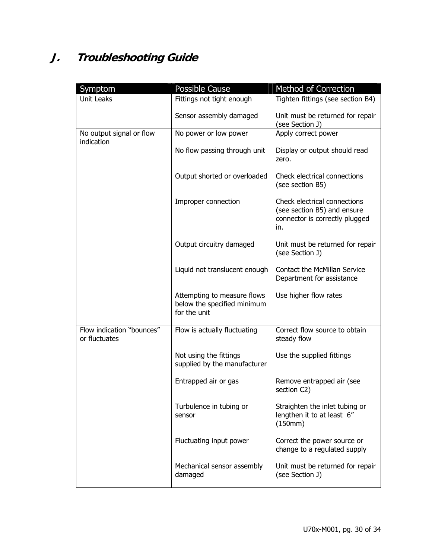# **J. Troubleshooting Guide**

| Symptom                                    | <b>Possible Cause</b>                                                      | Method of Correction                                                                                 |
|--------------------------------------------|----------------------------------------------------------------------------|------------------------------------------------------------------------------------------------------|
| Unit Leaks                                 | Fittings not tight enough                                                  | Tighten fittings (see section B4)                                                                    |
|                                            | Sensor assembly damaged                                                    | Unit must be returned for repair<br>(see Section J)                                                  |
| No output signal or flow                   | No power or low power                                                      | Apply correct power                                                                                  |
| indication                                 | No flow passing through unit                                               | Display or output should read<br>zero.                                                               |
|                                            | Output shorted or overloaded                                               | Check electrical connections<br>(see section B5)                                                     |
|                                            | Improper connection                                                        | Check electrical connections<br>(see section B5) and ensure<br>connector is correctly plugged<br>in. |
|                                            | Output circuitry damaged                                                   | Unit must be returned for repair<br>(see Section J)                                                  |
|                                            | Liquid not translucent enough                                              | <b>Contact the McMillan Service</b><br>Department for assistance                                     |
|                                            | Attempting to measure flows<br>below the specified minimum<br>for the unit | Use higher flow rates                                                                                |
| Flow indication "bounces"<br>or fluctuates | Flow is actually fluctuating                                               | Correct flow source to obtain<br>steady flow                                                         |
|                                            | Not using the fittings<br>supplied by the manufacturer                     | Use the supplied fittings                                                                            |
|                                            | Entrapped air or gas                                                       | Remove entrapped air (see<br>section C2)                                                             |
|                                            | Turbulence in tubing or<br>sensor                                          | Straighten the inlet tubing or<br>lengthen it to at least 6"<br>(150mm)                              |
|                                            | Fluctuating input power                                                    | Correct the power source or<br>change to a regulated supply                                          |
|                                            | Mechanical sensor assembly<br>damaged                                      | Unit must be returned for repair<br>(see Section J)                                                  |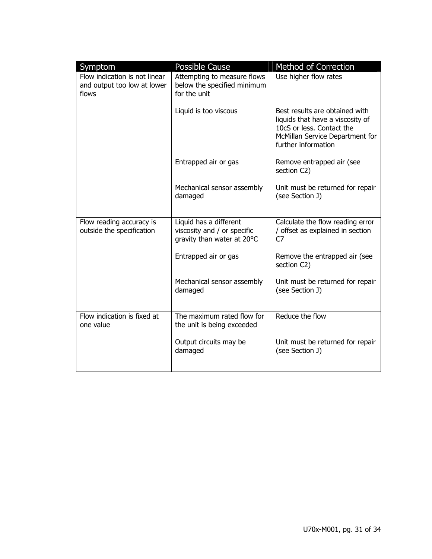| Symptom<br>Flow indication is not linear<br>and output too low at lower<br>flows | Possible Cause<br>Attempting to measure flows<br>below the specified minimum<br>for the unit | Method of Correction<br>Use higher flow rates                                                                                                             |
|----------------------------------------------------------------------------------|----------------------------------------------------------------------------------------------|-----------------------------------------------------------------------------------------------------------------------------------------------------------|
|                                                                                  | Liquid is too viscous                                                                        | Best results are obtained with<br>liquids that have a viscosity of<br>10cS or less. Contact the<br>McMillan Service Department for<br>further information |
|                                                                                  | Entrapped air or gas                                                                         | Remove entrapped air (see<br>section C2)                                                                                                                  |
|                                                                                  | Mechanical sensor assembly<br>damaged                                                        | Unit must be returned for repair<br>(see Section J)                                                                                                       |
| Flow reading accuracy is<br>outside the specification                            | Liquid has a different<br>viscosity and / or specific<br>gravity than water at 20°C          | Calculate the flow reading error<br>/ offset as explained in section<br>C7                                                                                |
|                                                                                  | Entrapped air or gas                                                                         | Remove the entrapped air (see<br>section C2)                                                                                                              |
|                                                                                  | Mechanical sensor assembly<br>damaged                                                        | Unit must be returned for repair<br>(see Section J)                                                                                                       |
| Flow indication is fixed at<br>one value                                         | The maximum rated flow for<br>the unit is being exceeded                                     | Reduce the flow                                                                                                                                           |
|                                                                                  | Output circuits may be<br>damaged                                                            | Unit must be returned for repair<br>(see Section J)                                                                                                       |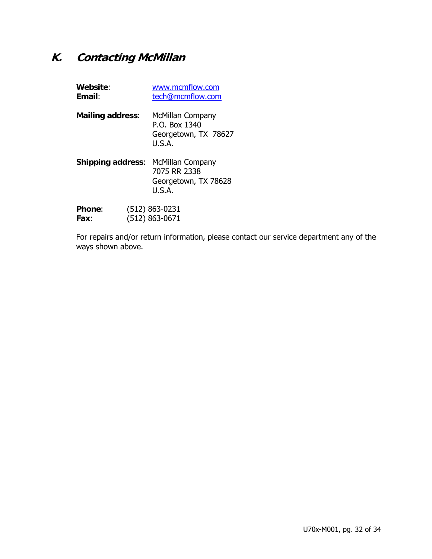# **K. Contacting McMillan**

| Website:<br>Email:       |  | www.mcmflow.com<br>tech@mcmflow.com                                 |
|--------------------------|--|---------------------------------------------------------------------|
| <b>Mailing address:</b>  |  | McMillan Company<br>P.O. Box 1340<br>Georgetown, TX 78627<br>U.S.A. |
| <b>Shipping address:</b> |  | McMillan Company<br>7075 RR 2338<br>Georgetown, TX 78628<br>U.S.A.  |
| <b>Phone:</b><br>Fax:    |  | (512) 863-0231<br>(512) 863-0671                                    |

For repairs and/or return information, please contact our service department any of the ways shown above.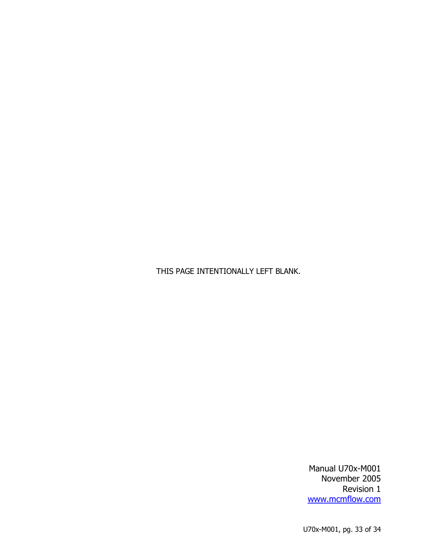THIS PAGE INTENTIONALLY LEFT BLANK.

Manual U70x-M001 November 2005 Revision 1 www.mcmflow.com

U70x-M001, pg. 33 of 34